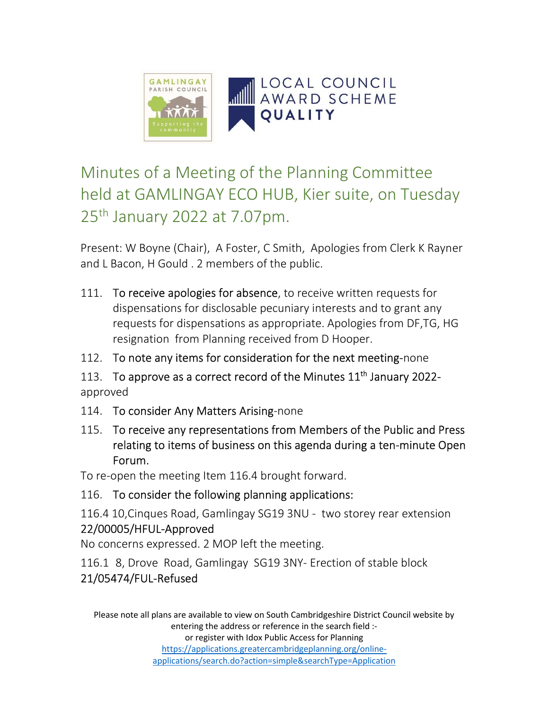

## Minutes of a Meeting of the Planning Committee held at GAMLINGAY ECO HUB, Kier suite, on Tuesday 25th January 2022 at 7.07pm.

Present: W Boyne (Chair), A Foster, C Smith, Apologies from Clerk K Rayner and L Bacon, H Gould . 2 members of the public.

- 111. To receive apologies for absence, to receive written requests for dispensations for disclosable pecuniary interests and to grant any requests for dispensations as appropriate. Apologies from DF,TG, HG resignation from Planning received from D Hooper.
- 112. To note any items for consideration for the next meeting-none
- 113. To approve as a correct record of the Minutes 11<sup>th</sup> January 2022approved
- 114. To consider Any Matters Arising-none
- 115. To receive any representations from Members of the Public and Press relating to items of business on this agenda during a ten-minute Open Forum.

To re-open the meeting Item 116.4 brought forward.

116. To consider the following planning applications:

116.4 10,Cinques Road, Gamlingay SG19 3NU - two storey rear extension 22/00005/HFUL-Approved

No concerns expressed. 2 MOP left the meeting.

116.1 8, Drove Road, Gamlingay SG19 3NY- Erection of stable block

## 21/05474/FUL-Refused

Please note all plans are available to view on South Cambridgeshire District Council website by entering the address or reference in the search field :-

or register with Idox Public Access for Planning https://applications.greatercambridgeplanning.org/onlineapplications/search.do?action=simple&searchType=Application